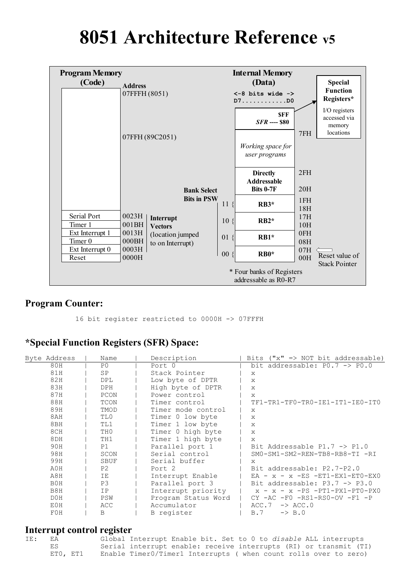# **8051 Architecture Reference v5**



#### **Program Counter:**

16 bit register restricted to 0000H -> 07FFFH

#### **\*Special Function Registers (SFR) Space:**

| Byte Address     | Name           | Description         | Bits $("x" => NOT bit addressable)$       |
|------------------|----------------|---------------------|-------------------------------------------|
| 80H              | P0             | Port 0              | bit addressable: $P0.7 \rightarrow P0.0$  |
| 81H              | <b>SP</b>      | Stack Pointer       | X                                         |
| 82H              | <b>DPL</b>     | Low byte of DPTR    | $\mathbf{x}$                              |
| 83H              | DPH            | High byte of DPTR   | $\mathsf{x}$                              |
| 87H              | PCON           | Power control       | $\mathsf{x}$                              |
| 88H              | TCON           | Timer control       | TF1-TR1-TF0-TR0-IE1-IT1-IE0-IT0           |
| 89H              | TMOD           | Timer mode control  | X                                         |
| 8AH              | TL0            | Timer 0 low byte    | $\mathbf{x}$                              |
| 8BH              | TL1            | Timer 1 low byte    | $\mathbf{x}$                              |
| 8CH              | TH0            | Timer 0 high byte   | $\mathsf{x}$                              |
| 8DH              | TH1            | Timer 1 high byte   | X                                         |
| 90H              | P1             | Parallel port 1     | Bit Addressable $P1.7 \rightarrow P1.0$   |
| 98H              | SCON           | Serial control      | SM0-SM1-SM2-REN-TB8-RB8-TI -RI            |
| 99H              | <b>SBUF</b>    | Serial buffer       | X                                         |
| A0H              | P <sub>2</sub> | Port <sub>2</sub>   | Bit addressable: P2.7-P2.0                |
| A8H              | IΕ             | Interrupt Enable    | $EA - x - x - ES - ETI - EX1 - ETO - EX0$ |
| B0H              | P3             | Parallel port 3     | Bit addressable: $P3.7 \rightarrow P3.0$  |
| B <sub>8</sub> H | IP             | Interrupt priority  | $x - x$ -PS -PT1-PX1-PT0-PX0<br>$x -$     |
| D0H              | PSW            | Program Status Word | $CY$ -AC -F0 -RS1-RS0-OV -F1 -P           |
| E0H              | ACC            | Accumulator         | ACC.7<br>$\rightarrow$ ACC.0              |
| F0H              | B              | B register          | $\rightarrow$ B.0<br>B.7                  |

#### **Interrupt control register**

| IE: | EA       | Global Interrupt Enable bit. Set to 0 to disable ALL interrupts   |  |
|-----|----------|-------------------------------------------------------------------|--|
|     | ES       | Serial interrupt enable: receive interrupts (RI) or transmit (TI) |  |
|     | ETO, ET1 | Enable Timer0/Timer1 Interrupts ( when count rolls over to zero)  |  |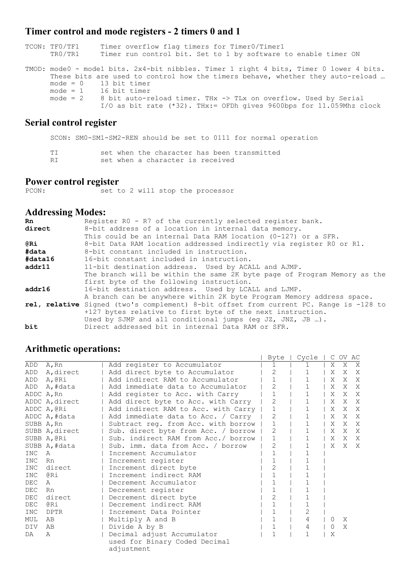### **Timer control and mode registers - 2 timers 0 and 1**

| TCON: TFO/TF1<br>TRO/TR1 | Timer overflow flag timers for Timer0/Timer1<br>Timer run control bit. Set to 1 by software to enable timer ON                                                                                                                                                                                                                                                                         |
|--------------------------|----------------------------------------------------------------------------------------------------------------------------------------------------------------------------------------------------------------------------------------------------------------------------------------------------------------------------------------------------------------------------------------|
|                          | TMOD: mode0 - mode1 bits. 2x4-bit nibbles. Timer 1 right 4 bits, Timer 0 lower 4 bits.<br>These bits are used to control how the timers behave, whether they auto-reload<br>$mode = 0$ 13 bit timer<br>$mode = 1$ 16 bit timer<br>mode = $2$ 8 bit auto-reload timer. THx -> TLx on overflow. Used by Serial<br>I/O as bit rate $(*32)$ . THx:= OFDh gives 9600bps for 11.059Mhz clock |

### **Serial control register**

SCON: SM0-SM1-SM2-REN should be set to 0111 for normal operation

| TI |  |                                  |  | set when the character has been transmitted |
|----|--|----------------------------------|--|---------------------------------------------|
| RI |  | set when a character is received |  |                                             |

## **Power control register**<br>PCON: set t

econstants of the processor

#### **Addressing Modes:**

| <b>Rn</b>  | Register R0 - R7 of the currently selected register bank.                              |
|------------|----------------------------------------------------------------------------------------|
| direct     | 8-bit address of a location in internal data memory.                                   |
|            | This could be an internal Data RAM location $(0-127)$ or a SFR.                        |
| <b>@Ri</b> | 8-bit Data RAM location addressed indirectly via register RO or R1.                    |
| #data      | 8-bit constant included in instruction.                                                |
| #data16    | 16-bit constant included in instruction.                                               |
| addr11     | 11-bit destination address. Used by ACALL and AJMP.                                    |
|            | The branch will be within the same 2K byte page of Program Memory as the               |
|            | first byte of the following instruction.                                               |
| addr16     | 16-bit destination address. Used by LCALL and LJMP.                                    |
|            | A branch can be anywhere within 2K byte Program Memory address space.                  |
|            | rel, relative Signed (two's complement) 8-bit offset from current PC. Range is -128 to |
|            | +127 bytes relative to first byte of the next instruction.                             |
|            | Used by SJMP and all conditional jumps (eq JZ, JNZ, JB ).                              |
| bit        | Direct addressed bit in internal Data RAM or SFR.                                      |

### **Arithmetic operations:**

|            | <i><b>IMMINIVITY</b></i> PURTUIS, |                                     | Byte           | Cycle        | $\mathbb{C}$ | OV AC |              |
|------------|-----------------------------------|-------------------------------------|----------------|--------------|--------------|-------|--------------|
| ADD        | A, Rn                             | Add register to Accumulator         |                |              | X            | X     | X            |
| ADD        | A, direct                         | Add direct byte to Accumulator      | 2              | 1            | X            | X     | X            |
| ADD        | A,@Ri                             | Add indirect RAM to Accumulator     |                | 1            | Χ            | X     | X            |
| ADD        | A,#data                           | Add immediate data to Accumulator   | $\overline{2}$ | $\mathbf{1}$ | X            | X     | X            |
|            | ADDC A, Rn                        | Add register to Acc. with Carry     |                |              | X            |       | X X          |
|            | ADDC A, direct                    | Add direct byte to Acc. with Carry  | $\overline{2}$ | 1            | X            | X X   |              |
|            | ADDC A, @Ri                       | Add indirect RAM to Acc. with Carry |                |              | X            | X     | X            |
|            | ADDC A, #data                     | Add immediate data to Acc. / Carry  | 2              | $\mathbf 1$  | Χ            | X     | X            |
|            | SUBB A, Rn                        | Subtract reg. from Acc. with borrow |                |              | X            | X     | X            |
|            | SUBB A, direct                    | Sub. direct byte from Acc. / borrow | $\overline{2}$ | 1            | X            | X     | X            |
|            | SUBB A, @Ri                       | Sub. indirect RAM from Acc./ borrow |                |              | X            | X     | X            |
|            | SUBB A, #data                     | Sub. imm. data from Acc. / borrow   | 2              | 1            | X            | X     | $\mathsf{X}$ |
| INC.       | A                                 | Increment Accumulator               |                |              |              |       |              |
| INC.       | Rn                                | Increment register                  |                | 1            |              |       |              |
| <b>INC</b> | direct                            | Increment direct byte               | $\overline{2}$ |              |              |       |              |
| INC        | @Ri                               | Increment indirect RAM              |                | 1            |              |       |              |
| DEC        | A                                 | Decrement Accumulator               |                |              |              |       |              |
| DEC        | Rn                                | Decrement register                  |                |              |              |       |              |
| DEC        | direct                            | Decrement direct byte               | $\overline{2}$ |              |              |       |              |
| DEC        | @Ri                               | Decrement indirect RAM              |                | 1            |              |       |              |
| <b>INC</b> | DPTR                              | Increment Data Pointer              |                | 2            |              |       |              |
| MUL        | AB                                | Multiply A and B                    |                | 4            | $\Omega$     | X     |              |
| <b>DIV</b> | AB                                | Divide A by B                       |                | 4            | $\Omega$     | X     |              |
| DA         | A                                 | Decimal adjust Accumulator          | $\mathbf{1}$   | 1            | X            |       |              |
|            |                                   | used for Binary Coded Decimal       |                |              |              |       |              |
|            |                                   | adjustment                          |                |              |              |       |              |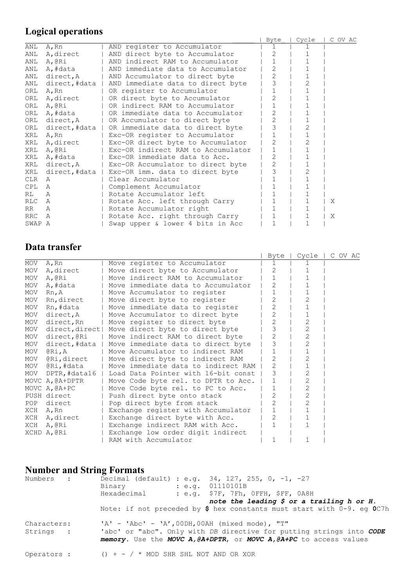## **Logical operations**

|        | Lugical operations |                                                     |                |       |         |
|--------|--------------------|-----------------------------------------------------|----------------|-------|---------|
|        |                    |                                                     | Byte           | Cycle | C OV AC |
| ANL    | A, Rn              | AND register to Accumulator                         |                |       |         |
| ANL    | A, direct          | AND direct byte to Accumulator                      | $\overline{2}$ |       |         |
| ANL    | A,@Ri              | AND indirect RAM to Accumulator                     |                |       |         |
| ANL    | A,#data            | AND immediate data to Accumulator                   | 2              |       |         |
| ANL    | direct, A          | AND Accumulator to direct byte                      | $\overline{2}$ |       |         |
| ANL    |                    | direct,#data   AND immediate data to direct byte    | 3              |       |         |
| ORL    | A, Rn              | OR register to Accumulator                          |                |       |         |
| ORL    | A, direct          | OR direct byte to Accumulator                       | $\overline{2}$ |       |         |
|        | ORL A, @Ri         | OR indirect RAM to Accumulator                      |                |       |         |
|        | ORL A,#data        | OR immediate data to Accumulator                    | $\overline{2}$ |       |         |
|        | ORL direct, A      | OR Accumulator to direct byte                       | 2              |       |         |
|        |                    | ORL direct,#data   OR immediate data to direct byte | 3              |       |         |
| XRL    | A, Rn              | Exc-OR register to Accumulator                      |                |       |         |
|        | XRL A, direct      | Exc-OR direct byte to Accumulator                   | $\overline{2}$ |       |         |
|        | XRL A, @Ri         | Exc-OR indirect RAM to Accumulator                  |                |       |         |
|        | XRL A,#data        | Exc-OR immediate data to Acc.                       | 2              |       |         |
| XRL    | direct, A          | Exc-OR Accumulator to direct byte                   | $\overline{2}$ |       |         |
| XRL    |                    | direct,#data   Exc-OR imm. data to direct byte      | 3              |       |         |
| CLR    | A                  | Clear Accumulator                                   |                |       |         |
| CPL    | $\mathbb{A}$       | Complement Accumulator                              |                |       |         |
| RL     | $\mathcal{A}$      | Rotate Accumulator left                             |                |       |         |
| RLC.   | Α                  | Rotate Acc. left through Carry                      | $\mathbf{1}$   |       | Χ       |
| RR     | A                  | Rotate Accumulator right                            |                |       |         |
| RRC    | Α                  | Rotate Acc. right through Carry                     | $\mathbf{1}$   |       | Χ       |
| SWAP A |                    | Swap upper & lower 4 bits in Acc                    |                |       |         |

## **Data transfer**

|            | паша и апуют     |                                                  |                |                |  |         |
|------------|------------------|--------------------------------------------------|----------------|----------------|--|---------|
|            |                  |                                                  | Byte           | Cycle          |  | C OV AC |
| MOV        | A, Rn            | Move register to Accumulator                     | 1              |                |  |         |
| MOV        | A, direct        | Move direct byte to Accumulator                  | 2              |                |  |         |
| MOV        | A,@Ri            | Move indirect RAM to Accumulator                 | $\mathbf{1}$   |                |  |         |
| MOV        | A,#data          | Move immediate data to Accumulator               | $\overline{2}$ |                |  |         |
| <b>MOV</b> | Rn, A            | Move Accumulator to register                     | $\mathbf 1$    |                |  |         |
| MOV        | Rn, direct       | Move direct byte to register                     | 2              | 2              |  |         |
| <b>MOV</b> | Rn,#data         | Move immediate data to register                  | 2              |                |  |         |
| MOV        | direct, A        | Move Accumulator to direct byte                  | $\overline{2}$ |                |  |         |
| MOV        | direct, Rn       | Move register to direct byte                     | $\overline{2}$ | 2              |  |         |
| MOV        |                  | direct, direct   Move direct byte to direct byte | 3              | $\mathbf{2}$   |  |         |
|            | MOV direct, @Ri  | Move indirect RAM to direct byte                 |                | 2              |  |         |
| MOV        | direct,#data     | Move immediate data to direct byte               | 3              | $\overline{2}$ |  |         |
| MOV        | @Ri,A            | Move Accumulator to indirect RAM                 |                |                |  |         |
| MOV        | @Ri,direct       | Move direct byte to indirect RAM                 | $\overline{2}$ | 2              |  |         |
|            | MOV @Ri,#data    | Move immediate data to indirect RAM              | $\overline{2}$ |                |  |         |
|            | MOV DPTR,#data16 | Load Data Pointer with 16-bit const              | 3              | $\mathbf{2}$   |  |         |
|            | MOVC A, @A+DPTR  | Move Code byte rel. to DPTR to Acc.              |                | $\mathbf{2}$   |  |         |
|            | MOVC A, @A+PC    | Move Code byte rel. to PC to Acc.                |                | 2              |  |         |
|            | PUSH direct      | Push direct byte onto stack                      | 2              | 2              |  |         |
| POP        | direct           | Pop direct byte from stack                       | $\overline{2}$ | $\mathfrak{D}$ |  |         |
|            | XCH A, Rn        | Exchange register with Accumulator               |                |                |  |         |
|            | XCH A, direct    | Exchange direct byte with Acc.                   | 2              |                |  |         |
|            | XCH A, @Ri       | Exchange indirect RAM with Acc.                  |                | 1              |  |         |
|            | XCHD A, @Ri      | Exchange low order digit indirect                |                |                |  |         |
|            |                  | RAM with Accumulator                             | 1              |                |  |         |

## **Number and String Formats**

| Numbers :                | Decimal (default) : e.g. $34, 127, 255, 0, -1, -27$<br>: e.a. 01110101B<br>Binary<br>Hexadecimal<br>: $e.q.$ \$7F, 7Fh, OFFH, \$FF, $0A8H$<br>note the leading $\oint$ or a trailing h or H.    |
|--------------------------|-------------------------------------------------------------------------------------------------------------------------------------------------------------------------------------------------|
|                          | Note: if not preceded by \$ hex constants must start with $0-9$ . eq OC7h                                                                                                                       |
| Characters:<br>Strings : | $'A' - 'Abc' - 'A', 00DH, 00AH (mixed mode), "T"$<br>'abc' or "abc". Only with DB directive for putting strings into CODE<br>memory. Use the MOVC A, @A+DPTR, or MOVC A, @A+PC to access values |
| Operators :              | () + - / * MOD SHR SHL NOT AND OR XOR                                                                                                                                                           |